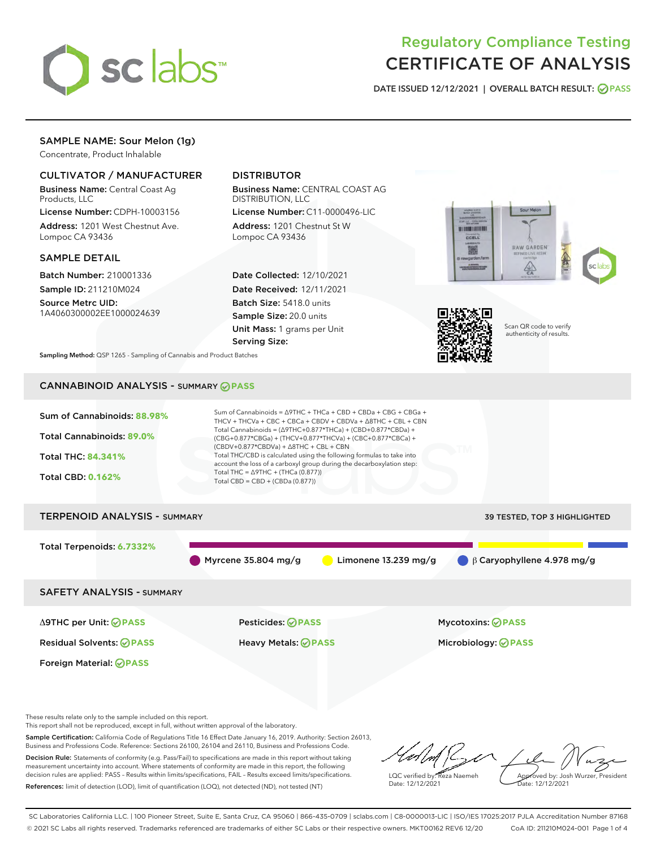

# Regulatory Compliance Testing CERTIFICATE OF ANALYSIS

DATE ISSUED 12/12/2021 | OVERALL BATCH RESULT: @ PASS

# SAMPLE NAME: Sour Melon (1g)

Concentrate, Product Inhalable

# CULTIVATOR / MANUFACTURER

Business Name: Central Coast Ag Products, LLC

License Number: CDPH-10003156 Address: 1201 West Chestnut Ave. Lompoc CA 93436

# SAMPLE DETAIL

Batch Number: 210001336 Sample ID: 211210M024

Source Metrc UID: 1A4060300002EE1000024639

# DISTRIBUTOR

Business Name: CENTRAL COAST AG DISTRIBUTION, LLC

License Number: C11-0000496-LIC Address: 1201 Chestnut St W Lompoc CA 93436

Date Collected: 12/10/2021 Date Received: 12/11/2021 Batch Size: 5418.0 units Sample Size: 20.0 units Unit Mass: 1 grams per Unit Serving Size:





Scan QR code to verify authenticity of results.

Sampling Method: QSP 1265 - Sampling of Cannabis and Product Batches

# CANNABINOID ANALYSIS - SUMMARY **PASS**



This report shall not be reproduced, except in full, without written approval of the laboratory.

Sample Certification: California Code of Regulations Title 16 Effect Date January 16, 2019. Authority: Section 26013, Business and Professions Code. Reference: Sections 26100, 26104 and 26110, Business and Professions Code. Decision Rule: Statements of conformity (e.g. Pass/Fail) to specifications are made in this report without taking measurement uncertainty into account. Where statements of conformity are made in this report, the following

decision rules are applied: PASS – Results within limits/specifications, FAIL – Results exceed limits/specifications. References: limit of detection (LOD), limit of quantification (LOQ), not detected (ND), not tested (NT)

LQC verified by: Reza Naemeh Date: 12/12/2021 Approved by: Josh Wurzer, President Date: 12/12/2021

SC Laboratories California LLC. | 100 Pioneer Street, Suite E, Santa Cruz, CA 95060 | 866-435-0709 | sclabs.com | C8-0000013-LIC | ISO/IES 17025:2017 PJLA Accreditation Number 87168 © 2021 SC Labs all rights reserved. Trademarks referenced are trademarks of either SC Labs or their respective owners. MKT00162 REV6 12/20 CoA ID: 211210M024-001 Page 1 of 4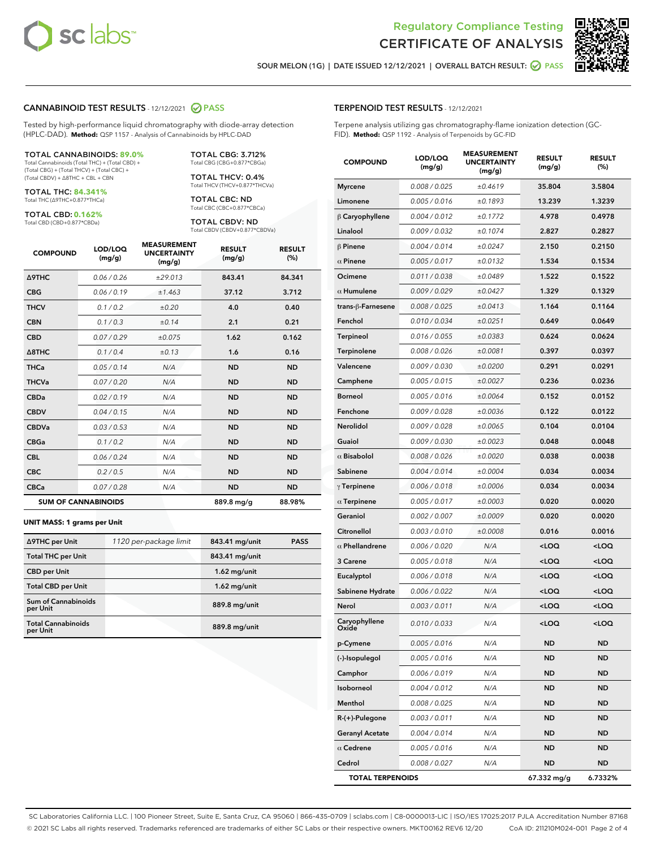

Terpene analysis utilizing gas chromatography-flame ionization detection (GC-



SOUR MELON (1G) | DATE ISSUED 12/12/2021 | OVERALL BATCH RESULT:  $\bigcirc$  PASS

TERPENOID TEST RESULTS - 12/12/2021

FID). **Method:** QSP 1192 - Analysis of Terpenoids by GC-FID

## CANNABINOID TEST RESULTS - 12/12/2021 2 PASS

Tested by high-performance liquid chromatography with diode-array detection (HPLC-DAD). **Method:** QSP 1157 - Analysis of Cannabinoids by HPLC-DAD

#### TOTAL CANNABINOIDS: **89.0%**

Total Cannabinoids (Total THC) + (Total CBD) + (Total CBG) + (Total THCV) + (Total CBC) + (Total CBDV) + ∆8THC + CBL + CBN

TOTAL THC: **84.341%** Total THC (∆9THC+0.877\*THCa)

TOTAL CBD: **0.162%**

Total CBD (CBD+0.877\*CBDa)

TOTAL CBG: 3.712% Total CBG (CBG+0.877\*CBGa)

TOTAL THCV: 0.4% Total THCV (THCV+0.877\*THCVa)

TOTAL CBC: ND Total CBC (CBC+0.877\*CBCa)

TOTAL CBDV: ND Total CBDV (CBDV+0.877\*CBDVa)

| <b>COMPOUND</b>            | LOD/LOQ<br>(mg/g) | <b>MEASUREMENT</b><br><b>UNCERTAINTY</b><br>(mg/g) | <b>RESULT</b><br>(mg/g) | <b>RESULT</b><br>(%) |
|----------------------------|-------------------|----------------------------------------------------|-------------------------|----------------------|
| Δ9THC                      | 0.06 / 0.26       | ±29.013                                            | 843.41                  | 84.341               |
| <b>CBG</b>                 | 0.06 / 0.19       | ±1.463                                             | 37.12                   | 3.712                |
| <b>THCV</b>                | 0.1 / 0.2         | ±0.20                                              | 4.0                     | 0.40                 |
| <b>CBN</b>                 | 0.1/0.3           | ±0.14                                              | 2.1                     | 0.21                 |
| <b>CBD</b>                 | 0.07/0.29         | ±0.075                                             | 1.62                    | 0.162                |
| $\triangle$ 8THC           | 0.1 / 0.4         | ±0.13                                              | 1.6                     | 0.16                 |
| <b>THCa</b>                | 0.05/0.14         | N/A                                                | <b>ND</b>               | <b>ND</b>            |
| <b>THCVa</b>               | 0.07/0.20         | N/A                                                | <b>ND</b>               | <b>ND</b>            |
| <b>CBDa</b>                | 0.02/0.19         | N/A                                                | <b>ND</b>               | <b>ND</b>            |
| <b>CBDV</b>                | 0.04 / 0.15       | N/A                                                | <b>ND</b>               | <b>ND</b>            |
| <b>CBDVa</b>               | 0.03/0.53         | N/A                                                | <b>ND</b>               | <b>ND</b>            |
| <b>CBGa</b>                | 0.1 / 0.2         | N/A                                                | <b>ND</b>               | <b>ND</b>            |
| <b>CBL</b>                 | 0.06 / 0.24       | N/A                                                | <b>ND</b>               | <b>ND</b>            |
| <b>CBC</b>                 | 0.2 / 0.5         | N/A                                                | <b>ND</b>               | <b>ND</b>            |
| <b>CBCa</b>                | 0.07 / 0.28       | N/A                                                | <b>ND</b>               | <b>ND</b>            |
| <b>SUM OF CANNABINOIDS</b> |                   |                                                    | 889.8 mg/g              | 88.98%               |

#### **UNIT MASS: 1 grams per Unit**

| ∆9THC per Unit                        | 1120 per-package limit | 843.41 mg/unit | <b>PASS</b> |
|---------------------------------------|------------------------|----------------|-------------|
| <b>Total THC per Unit</b>             |                        | 843.41 mg/unit |             |
| <b>CBD</b> per Unit                   |                        | $1.62$ mg/unit |             |
| <b>Total CBD per Unit</b>             |                        | $1.62$ mg/unit |             |
| Sum of Cannabinoids<br>per Unit       |                        | 889.8 mg/unit  |             |
| <b>Total Cannabinoids</b><br>per Unit |                        | 889.8 mg/unit  |             |

| <b>COMPOUND</b>         | LOD/LOQ<br>(mg/g) | <b>MEASUREMENT</b><br><b>UNCERTAINTY</b><br>(mg/g) | <b>RESULT</b><br>(mg/g)                         | <b>RESULT</b><br>$(\%)$ |
|-------------------------|-------------------|----------------------------------------------------|-------------------------------------------------|-------------------------|
| <b>Myrcene</b>          | 0.008 / 0.025     | ±0.4619                                            | 35.804                                          | 3.5804                  |
| Limonene                | 0.005 / 0.016     | ±0.1893                                            | 13.239                                          | 1.3239                  |
| $\upbeta$ Caryophyllene | 0.004 / 0.012     | ±0.1772                                            | 4.978                                           | 0.4978                  |
| Linalool                | 0.009 / 0.032     | ±0.1074                                            | 2.827                                           | 0.2827                  |
| $\beta$ Pinene          | 0.004 / 0.014     | ±0.0247                                            | 2.150                                           | 0.2150                  |
| $\alpha$ Pinene         | 0.005 / 0.017     | ±0.0132                                            | 1.534                                           | 0.1534                  |
| Ocimene                 | 0.011/0.038       | ±0.0489                                            | 1.522                                           | 0.1522                  |
| $\alpha$ Humulene       | 0.009 / 0.029     | ±0.0427                                            | 1.329                                           | 0.1329                  |
| trans-ß-Farnesene       | 0.008 / 0.025     | ±0.0413                                            | 1.164                                           | 0.1164                  |
| Fenchol                 | 0.010 / 0.034     | ±0.0251                                            | 0.649                                           | 0.0649                  |
| Terpineol               | 0.016 / 0.055     | ±0.0383                                            | 0.624                                           | 0.0624                  |
| Terpinolene             | 0.008 / 0.026     | ±0.0081                                            | 0.397                                           | 0.0397                  |
| Valencene               | 0.009 / 0.030     | ±0.0200                                            | 0.291                                           | 0.0291                  |
| Camphene                | 0.005 / 0.015     | ±0.0027                                            | 0.236                                           | 0.0236                  |
| <b>Borneol</b>          | 0.005 / 0.016     | ±0.0064                                            | 0.152                                           | 0.0152                  |
| Fenchone                | 0.009 / 0.028     | ±0.0036                                            | 0.122                                           | 0.0122                  |
| Nerolidol               | 0.009/0.028       | ±0.0065                                            | 0.104                                           | 0.0104                  |
| Guaiol                  | 0.009 / 0.030     | ±0.0023                                            | 0.048                                           | 0.0048                  |
| $\alpha$ Bisabolol      | 0.008 / 0.026     | ±0.0020                                            | 0.038                                           | 0.0038                  |
| Sabinene                | 0.004 / 0.014     | ±0.0004                                            | 0.034                                           | 0.0034                  |
| $\gamma$ Terpinene      | 0.006 / 0.018     | ±0.0006                                            | 0.034                                           | 0.0034                  |
| $\alpha$ Terpinene      | 0.005 / 0.017     | ±0.0003                                            | 0.020                                           | 0.0020                  |
| Geraniol                | 0.002 / 0.007     | ±0.0009                                            | 0.020                                           | 0.0020                  |
| Citronellol             | 0.003 / 0.010     | ±0.0008                                            | 0.016                                           | 0.0016                  |
| $\alpha$ Phellandrene   | 0.006 / 0.020     | N/A                                                | <loq< th=""><th><loq< th=""></loq<></th></loq<> | <loq< th=""></loq<>     |
| 3 Carene                | 0.005 / 0.018     | N/A                                                | <loq< th=""><th><loq< th=""></loq<></th></loq<> | <loq< th=""></loq<>     |
| Eucalyptol              | 0.006 / 0.018     | N/A                                                | <loq< th=""><th><loq< th=""></loq<></th></loq<> | <loq< th=""></loq<>     |
| Sabinene Hydrate        | 0.006 / 0.022     | N/A                                                | <loq< th=""><th><loq< th=""></loq<></th></loq<> | <loq< th=""></loq<>     |
| Nerol                   | 0.003/0.011       | N/A                                                | <loq< th=""><th><loq< th=""></loq<></th></loq<> | <loq< th=""></loq<>     |
| Caryophyllene<br>Oxide  | 0.010 / 0.033     | N/A                                                | $<$ LOQ                                         | <loq< th=""></loq<>     |
| p-Cymene                | 0.005 / 0.016     | N/A                                                | ND                                              | ND                      |
| (-)-Isopulegol          | 0.005 / 0.016     | N/A                                                | ND                                              | ND                      |
| Camphor                 | 0.006 / 0.019     | N/A                                                | ND                                              | ND                      |
| Isoborneol              | 0.004 / 0.012     | N/A                                                | ND                                              | ND                      |
| Menthol                 | 0.008 / 0.025     | N/A                                                | ND                                              | ND                      |
| R-(+)-Pulegone          | 0.003 / 0.011     | N/A                                                | ND                                              | ND                      |
| <b>Geranyl Acetate</b>  | 0.004 / 0.014     | N/A                                                | ND                                              | ND                      |
| $\alpha$ Cedrene        | 0.005 / 0.016     | N/A                                                | ND                                              | ND                      |
| Cedrol                  | 0.008 / 0.027     | N/A                                                | <b>ND</b>                                       | ND                      |
| <b>TOTAL TERPENOIDS</b> |                   |                                                    | 67.332 mg/g                                     | 6.7332%                 |

SC Laboratories California LLC. | 100 Pioneer Street, Suite E, Santa Cruz, CA 95060 | 866-435-0709 | sclabs.com | C8-0000013-LIC | ISO/IES 17025:2017 PJLA Accreditation Number 87168 © 2021 SC Labs all rights reserved. Trademarks referenced are trademarks of either SC Labs or their respective owners. MKT00162 REV6 12/20 CoA ID: 211210M024-001 Page 2 of 4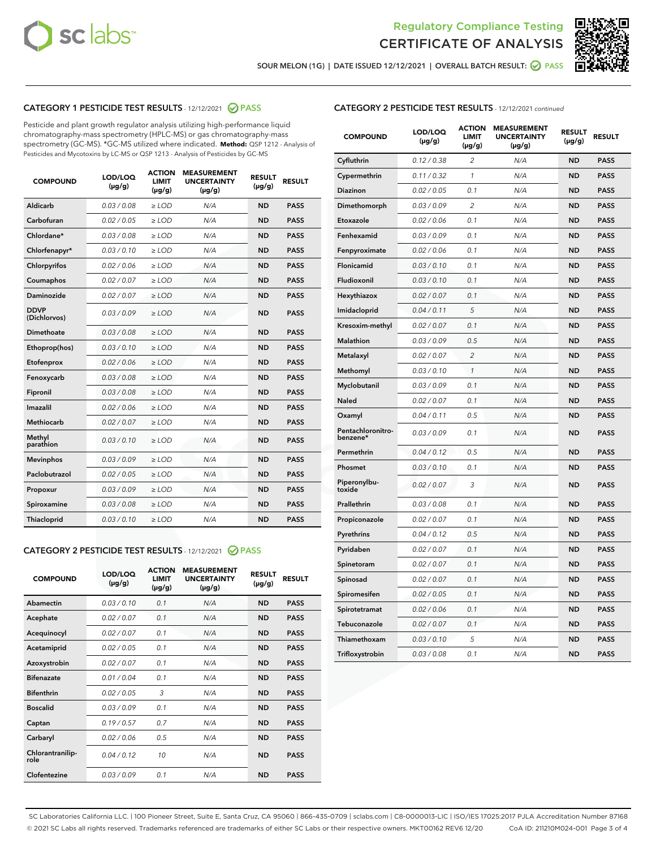



SOUR MELON (1G) | DATE ISSUED 12/12/2021 | OVERALL BATCH RESULT: @ PASS

# CATEGORY 1 PESTICIDE TEST RESULTS - 12/12/2021 2 PASS

Pesticide and plant growth regulator analysis utilizing high-performance liquid chromatography-mass spectrometry (HPLC-MS) or gas chromatography-mass spectrometry (GC-MS). \*GC-MS utilized where indicated. **Method:** QSP 1212 - Analysis of Pesticides and Mycotoxins by LC-MS or QSP 1213 - Analysis of Pesticides by GC-MS

| <b>COMPOUND</b>             | LOD/LOQ<br>$(\mu g/g)$ | <b>ACTION</b><br>LIMIT<br>$(\mu g/g)$ | <b>MEASUREMENT</b><br><b>UNCERTAINTY</b><br>$(\mu g/g)$ | <b>RESULT</b><br>$(\mu g/g)$ | <b>RESULT</b> |
|-----------------------------|------------------------|---------------------------------------|---------------------------------------------------------|------------------------------|---------------|
| Aldicarb                    | 0.03/0.08              | $>$ LOD                               | N/A                                                     | <b>ND</b>                    | <b>PASS</b>   |
| Carbofuran                  | 0.02 / 0.05            | $\geq$ LOD                            | N/A                                                     | <b>ND</b>                    | <b>PASS</b>   |
| Chlordane*                  | 0.03 / 0.08            | $\geq$ LOD                            | N/A                                                     | <b>ND</b>                    | <b>PASS</b>   |
| Chlorfenapyr*               | 0.03/0.10              | $\ge$ LOD                             | N/A                                                     | <b>ND</b>                    | <b>PASS</b>   |
| Chlorpyrifos                | 0.02 / 0.06            | $\ge$ LOD                             | N/A                                                     | <b>ND</b>                    | <b>PASS</b>   |
| Coumaphos                   | 0.02 / 0.07            | $\ge$ LOD                             | N/A                                                     | <b>ND</b>                    | <b>PASS</b>   |
| Daminozide                  | 0.02/0.07              | $>$ LOD                               | N/A                                                     | <b>ND</b>                    | <b>PASS</b>   |
| <b>DDVP</b><br>(Dichlorvos) | 0.03/0.09              | $\ge$ LOD                             | N/A                                                     | <b>ND</b>                    | <b>PASS</b>   |
| <b>Dimethoate</b>           | 0.03 / 0.08            | $\ge$ LOD                             | N/A                                                     | <b>ND</b>                    | <b>PASS</b>   |
| Ethoprop(hos)               | 0.03/0.10              | $\ge$ LOD                             | N/A                                                     | <b>ND</b>                    | <b>PASS</b>   |
| Etofenprox                  | 0.02 / 0.06            | $\ge$ LOD                             | N/A                                                     | <b>ND</b>                    | <b>PASS</b>   |
| Fenoxycarb                  | 0.03 / 0.08            | $\ge$ LOD                             | N/A                                                     | <b>ND</b>                    | <b>PASS</b>   |
| Fipronil                    | 0.03 / 0.08            | $\ge$ LOD                             | N/A                                                     | <b>ND</b>                    | <b>PASS</b>   |
| Imazalil                    | 0.02 / 0.06            | $>$ LOD                               | N/A                                                     | <b>ND</b>                    | <b>PASS</b>   |
| Methiocarb                  | 0.02 / 0.07            | $>$ LOD                               | N/A                                                     | <b>ND</b>                    | <b>PASS</b>   |
| Methyl<br>parathion         | 0.03/0.10              | $>$ LOD                               | N/A                                                     | <b>ND</b>                    | <b>PASS</b>   |
| <b>Mevinphos</b>            | 0.03/0.09              | $>$ LOD                               | N/A                                                     | <b>ND</b>                    | <b>PASS</b>   |
| Paclobutrazol               | 0.02 / 0.05            | $>$ LOD                               | N/A                                                     | <b>ND</b>                    | <b>PASS</b>   |
| Propoxur                    | 0.03/0.09              | $\ge$ LOD                             | N/A                                                     | <b>ND</b>                    | <b>PASS</b>   |
| Spiroxamine                 | 0.03 / 0.08            | $\ge$ LOD                             | N/A                                                     | <b>ND</b>                    | <b>PASS</b>   |
| Thiacloprid                 | 0.03/0.10              | $\ge$ LOD                             | N/A                                                     | <b>ND</b>                    | <b>PASS</b>   |

### CATEGORY 2 PESTICIDE TEST RESULTS - 12/12/2021 @ PASS

| <b>COMPOUND</b>          | LOD/LOO<br>$(\mu g/g)$ | <b>ACTION</b><br>LIMIT<br>$(\mu g/g)$ | <b>MEASUREMENT</b><br><b>UNCERTAINTY</b><br>$(\mu g/g)$ | <b>RESULT</b><br>$(\mu g/g)$ | <b>RESULT</b> |
|--------------------------|------------------------|---------------------------------------|---------------------------------------------------------|------------------------------|---------------|
| Abamectin                | 0.03/0.10              | 0.1                                   | N/A                                                     | <b>ND</b>                    | <b>PASS</b>   |
| Acephate                 | 0.02/0.07              | 0.1                                   | N/A                                                     | <b>ND</b>                    | <b>PASS</b>   |
| Acequinocyl              | 0.02/0.07              | 0.1                                   | N/A                                                     | <b>ND</b>                    | <b>PASS</b>   |
| Acetamiprid              | 0.02/0.05              | 0.1                                   | N/A                                                     | <b>ND</b>                    | <b>PASS</b>   |
| Azoxystrobin             | 0.02/0.07              | 0.1                                   | N/A                                                     | <b>ND</b>                    | <b>PASS</b>   |
| <b>Bifenazate</b>        | 0.01/0.04              | 0.1                                   | N/A                                                     | <b>ND</b>                    | <b>PASS</b>   |
| <b>Bifenthrin</b>        | 0.02/0.05              | 3                                     | N/A                                                     | <b>ND</b>                    | <b>PASS</b>   |
| <b>Boscalid</b>          | 0.03/0.09              | 0.1                                   | N/A                                                     | <b>ND</b>                    | <b>PASS</b>   |
| Captan                   | 0.19/0.57              | 0.7                                   | N/A                                                     | <b>ND</b>                    | <b>PASS</b>   |
| Carbaryl                 | 0.02/0.06              | 0.5                                   | N/A                                                     | <b>ND</b>                    | <b>PASS</b>   |
| Chlorantranilip-<br>role | 0.04/0.12              | 10                                    | N/A                                                     | <b>ND</b>                    | <b>PASS</b>   |
| Clofentezine             | 0.03/0.09              | 0.1                                   | N/A                                                     | <b>ND</b>                    | <b>PASS</b>   |

# CATEGORY 2 PESTICIDE TEST RESULTS - 12/12/2021 continued

| <b>COMPOUND</b>               | LOD/LOQ<br>(µg/g) | <b>ACTION</b><br><b>LIMIT</b><br>$(\mu g/g)$ | <b>MEASUREMENT</b><br><b>UNCERTAINTY</b><br>$(\mu g/g)$ | <b>RESULT</b><br>(µg/g) | <b>RESULT</b> |
|-------------------------------|-------------------|----------------------------------------------|---------------------------------------------------------|-------------------------|---------------|
| Cyfluthrin                    | 0.12 / 0.38       | $\overline{c}$                               | N/A                                                     | <b>ND</b>               | <b>PASS</b>   |
| Cypermethrin                  | 0.11 / 0.32       | 1                                            | N/A                                                     | ND                      | <b>PASS</b>   |
| Diazinon                      | 0.02 / 0.05       | 0.1                                          | N/A                                                     | ND                      | <b>PASS</b>   |
| Dimethomorph                  | 0.03 / 0.09       | 2                                            | N/A                                                     | ND                      | <b>PASS</b>   |
| Etoxazole                     | 0.02 / 0.06       | 0.1                                          | N/A                                                     | <b>ND</b>               | <b>PASS</b>   |
| Fenhexamid                    | 0.03 / 0.09       | 0.1                                          | N/A                                                     | <b>ND</b>               | <b>PASS</b>   |
| Fenpyroximate                 | 0.02 / 0.06       | 0.1                                          | N/A                                                     | ND                      | <b>PASS</b>   |
| Flonicamid                    | 0.03 / 0.10       | 0.1                                          | N/A                                                     | ND                      | <b>PASS</b>   |
| Fludioxonil                   | 0.03 / 0.10       | 0.1                                          | N/A                                                     | <b>ND</b>               | <b>PASS</b>   |
| Hexythiazox                   | 0.02 / 0.07       | 0.1                                          | N/A                                                     | ND                      | <b>PASS</b>   |
| Imidacloprid                  | 0.04 / 0.11       | 5                                            | N/A                                                     | ND                      | <b>PASS</b>   |
| Kresoxim-methyl               | 0.02 / 0.07       | 0.1                                          | N/A                                                     | <b>ND</b>               | <b>PASS</b>   |
| <b>Malathion</b>              | 0.03 / 0.09       | 0.5                                          | N/A                                                     | ND                      | <b>PASS</b>   |
| Metalaxyl                     | 0.02 / 0.07       | $\overline{c}$                               | N/A                                                     | ND                      | <b>PASS</b>   |
| Methomyl                      | 0.03 / 0.10       | 1                                            | N/A                                                     | <b>ND</b>               | <b>PASS</b>   |
| Myclobutanil                  | 0.03 / 0.09       | 0.1                                          | N/A                                                     | ND                      | <b>PASS</b>   |
| Naled                         | 0.02 / 0.07       | 0.1                                          | N/A                                                     | ND                      | <b>PASS</b>   |
| Oxamyl                        | 0.04 / 0.11       | 0.5                                          | N/A                                                     | ND                      | <b>PASS</b>   |
| Pentachloronitro-<br>benzene* | 0.03 / 0.09       | 0.1                                          | N/A                                                     | ND                      | <b>PASS</b>   |
| Permethrin                    | 0.04 / 0.12       | 0.5                                          | N/A                                                     | <b>ND</b>               | <b>PASS</b>   |
| Phosmet                       | 0.03 / 0.10       | 0.1                                          | N/A                                                     | <b>ND</b>               | <b>PASS</b>   |
| Piperonylbu-<br>toxide        | 0.02 / 0.07       | 3                                            | N/A                                                     | ND                      | <b>PASS</b>   |
| Prallethrin                   | 0.03 / 0.08       | 0.1                                          | N/A                                                     | <b>ND</b>               | <b>PASS</b>   |
| Propiconazole                 | 0.02 / 0.07       | 0.1                                          | N/A                                                     | ND                      | <b>PASS</b>   |
| Pyrethrins                    | 0.04 / 0.12       | 0.5                                          | N/A                                                     | ND                      | <b>PASS</b>   |
| Pyridaben                     | 0.02 / 0.07       | 0.1                                          | N/A                                                     | ND                      | <b>PASS</b>   |
| Spinetoram                    | 0.02 / 0.07       | 0.1                                          | N/A                                                     | ND                      | <b>PASS</b>   |
| Spinosad                      | 0.02 / 0.07       | 0.1                                          | N/A                                                     | ND                      | <b>PASS</b>   |
| Spiromesifen                  | 0.02 / 0.05       | 0.1                                          | N/A                                                     | <b>ND</b>               | <b>PASS</b>   |
| Spirotetramat                 | 0.02 / 0.06       | 0.1                                          | N/A                                                     | ND                      | <b>PASS</b>   |
| Tebuconazole                  | 0.02 / 0.07       | 0.1                                          | N/A                                                     | ND                      | <b>PASS</b>   |
| Thiamethoxam                  | 0.03 / 0.10       | 5                                            | N/A                                                     | <b>ND</b>               | <b>PASS</b>   |
| Trifloxystrobin               | 0.03 / 0.08       | 0.1                                          | N/A                                                     | <b>ND</b>               | <b>PASS</b>   |

SC Laboratories California LLC. | 100 Pioneer Street, Suite E, Santa Cruz, CA 95060 | 866-435-0709 | sclabs.com | C8-0000013-LIC | ISO/IES 17025:2017 PJLA Accreditation Number 87168 © 2021 SC Labs all rights reserved. Trademarks referenced are trademarks of either SC Labs or their respective owners. MKT00162 REV6 12/20 CoA ID: 211210M024-001 Page 3 of 4